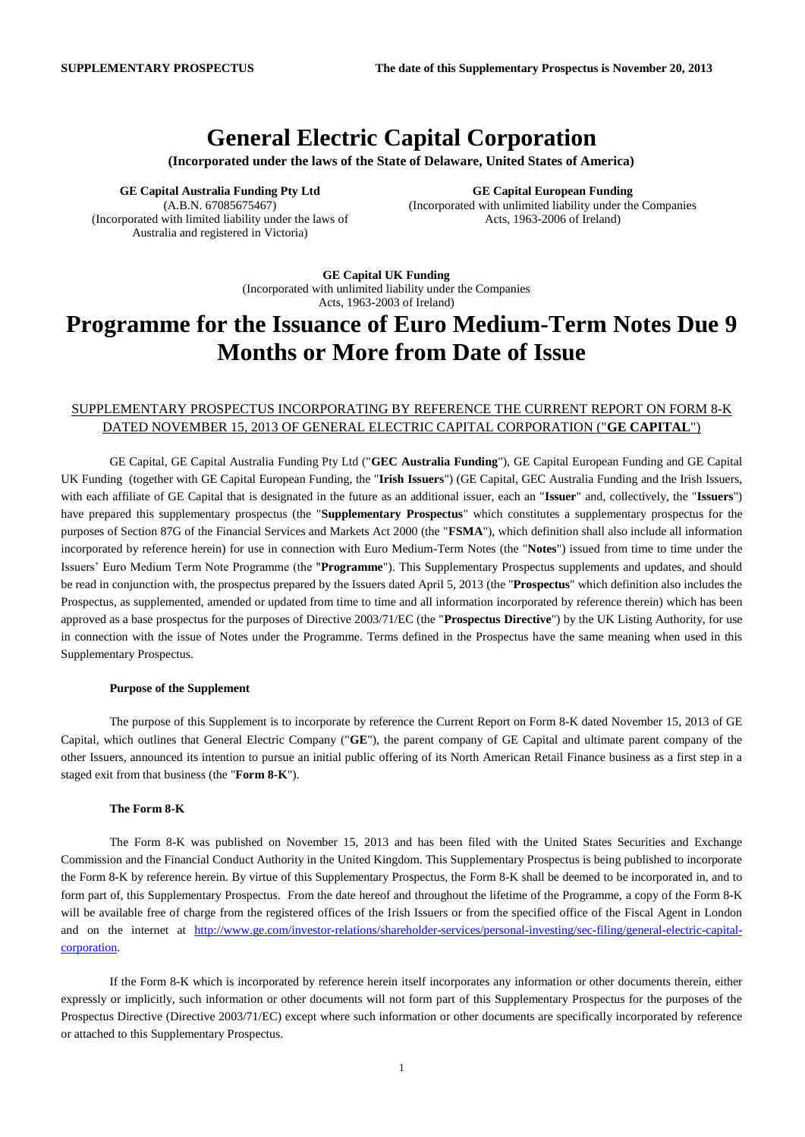## **General Electric Capital Corporation**

**(Incorporated under the laws of the State of Delaware, United States of America)**

**GE Capital Australia Funding Pty Ltd** (A.B.N. 67085675467) (Incorporated with limited liability under the laws of Australia and registered in Victoria)

**GE Capital European Funding** (Incorporated with unlimited liability under the Companies Acts, 1963-2006 of Ireland)

**GE Capital UK Funding** (Incorporated with unlimited liability under the Companies Acts, 1963-2003 of Ireland)

# **Programme for the Issuance of Euro Medium-Term Notes Due 9 Months or More from Date of Issue**

### SUPPLEMENTARY PROSPECTUS INCORPORATING BY REFERENCE THE CURRENT REPORT ON FORM 8-K DATED NOVEMBER 15, 2013 OF GENERAL ELECTRIC CAPITAL CORPORATION ("**GE CAPITAL**")

GE Capital, GE Capital Australia Funding Pty Ltd ("**GEC Australia Funding**"), GE Capital European Funding and GE Capital UK Funding (together with GE Capital European Funding, the "**Irish Issuers**") (GE Capital, GEC Australia Funding and the Irish Issuers, with each affiliate of GE Capital that is designated in the future as an additional issuer, each an "**Issuer**" and, collectively, the "**Issuers**") have prepared this supplementary prospectus (the "**Supplementary Prospectus**" which constitutes a supplementary prospectus for the purposes of Section 87G of the Financial Services and Markets Act 2000 (the "**FSMA**"), which definition shall also include all information incorporated by reference herein) for use in connection with Euro Medium-Term Notes (the "**Notes**") issued from time to time under the Issuers' Euro Medium Term Note Programme (the "**Programme**"). This Supplementary Prospectus supplements and updates, and should be read in conjunction with, the prospectus prepared by the Issuers dated April 5, 2013 (the "**Prospectus**" which definition also includes the Prospectus, as supplemented, amended or updated from time to time and all information incorporated by reference therein) which has been approved as a base prospectus for the purposes of Directive 2003/71/EC (the "**Prospectus Directive**") by the UK Listing Authority, for use in connection with the issue of Notes under the Programme. Terms defined in the Prospectus have the same meaning when used in this Supplementary Prospectus.

#### **Purpose of the Supplement**

The purpose of this Supplement is to incorporate by reference the Current Report on Form 8-K dated November 15, 2013 of GE Capital, which outlines that General Electric Company ("**GE**"), the parent company of GE Capital and ultimate parent company of the other Issuers, announced its intention to pursue an initial public offering of its North American Retail Finance business as a first step in a staged exit from that business (the "**Form 8-K**").

#### **The Form 8-K**

The Form 8-K was published on November 15, 2013 and has been filed with the United States Securities and Exchange Commission and the Financial Conduct Authority in the United Kingdom. This Supplementary Prospectus is being published to incorporate the Form 8-K by reference herein. By virtue of this Supplementary Prospectus, the Form 8-K shall be deemed to be incorporated in, and to form part of, this Supplementary Prospectus. From the date hereof and throughout the lifetime of the Programme, a copy of the Form 8-K will be available free of charge from the registered offices of the Irish Issuers or from the specified office of the Fiscal Agent in London and on the internet at [http://www.ge.com/investor-relations/shareholder-services/personal-investing/sec-filing/general-electric-capital](http://www.ge.com/investor-relations/shareholder-services/personal-investing/sec-filing/general-electric-capital-corporation)[corporation.](http://www.ge.com/investor-relations/shareholder-services/personal-investing/sec-filing/general-electric-capital-corporation)

If the Form 8-K which is incorporated by reference herein itself incorporates any information or other documents therein, either expressly or implicitly, such information or other documents will not form part of this Supplementary Prospectus for the purposes of the Prospectus Directive (Directive 2003/71/EC) except where such information or other documents are specifically incorporated by reference or attached to this Supplementary Prospectus.